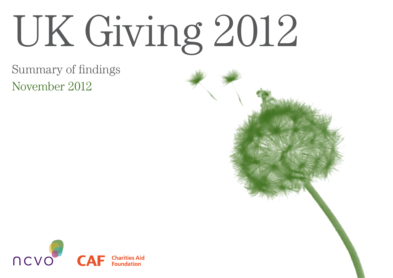# UK Giving 2012

# Summary of findings November 2012



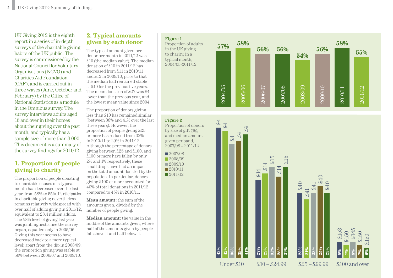UK Giving 2012 is the eighth report in a series of in-depth surveys of the charitable giving habits of the UK public. The survey is commissioned by the National Council for Voluntary Organisations (NCVO) and Charities Aid Foundation (CAF), and is carried out in three waves (June, October and February) by the Office of National Statistics as a module in the Omnibus survey. The survey interviews adults aged 16 and over in their homes about their giving over the past month, and typically has a sample size of more than 3,000. This document is a summary of the survey findings for 2011/12.

## **1. Proportion of people giving to charity**

The proportion of people donating to charitable causes in a typical month has decreased over the last year, from 58% to 55%. Participation in charitable giving nevertheless remains relatively widespread with over half of adults giving in 2011/12, equivalent to 28.4 million adults. The 58% level of giving last year was joint highest since the survey began, equalled only in 2005/06. Giving this year seems to have decreased back to a more typical level; apart from the dip in 2008/09, the proportion giving was stable at 56% between 2006/07 and 2009/10.

### **2. Typical amounts given by each donor**

**Figure 1**

**Figure 2**

The typical amount given per donor per month in 2011/12 was £10 (the median value). The median donation of £10 in 2011/12 has decreased from £11 in 2010/11 and £12 in 2009/10; prior to that the median had remained stable at £10 for the previous five years. The mean donation of £27 was £4 lower than the previous year, and the lowest mean value since 2004.

The proportion of donors giving less than £10 has remained similar (between 38% and 41% over the last three years). However, the proportion of people giving £25 or more has reduced from 32% in 2010/11 to 29% in 2011/12. Although the percentage of donors giving between £25 and £100, and £100 or more have fallen by only 2% and 1% respectively, these small drops have had an impact on the total amount donated by the population. In particular, donors giving £100 or more accounted for 40% of total donations in 2011/12 compared to 45% in 2010/11.

**Mean amount:** the sum of the amounts given, divided by the number of people giving.

**Median amount:** the value in the middle of the amounts given, where half of the amounts given by people fall above it and half below it.

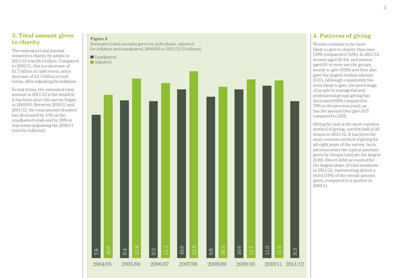### **3. Total amount given to charity**

The estimated total amount donated to charity by adults in 2011/12 was £9.3 billion. Compared to 2010/11, this is a decrease of £1.7 billion in cash terms, and a decrease of £2.3 billion in real terms, after adjusting for inflation.

In real terms, the estimated total amount in 2011/12 is the smallest it has been since the survey began in 2004/05. Between 2010/11 and 2011/12, the total amount donated has decreased by 15% on the unadjusted totals and by 20% in real terms (adjusting the 2010/11 total for inflation).

### **Figure 3**

Estimated total amounts given by individuals, adjusted for inflation and unadjusted, 2004/05 to 2011/12 (£ billions)



### **4. Patterns of giving**

Women continue to be more likely to give to charity than men (58% compared to 52%). In 2011/12 women aged 45-64, and women aged 65 or more are the groups mostly to give (62%) and they also gave the largest median amount (£15). Although consistently the most likely to give, the percentage of people in managerial and professional groups giving has decreased (66% compared to 70% in the previous year), as has the amount they give (£17 compared to £20).

Giving by cash is the most common method of giving, used by half of all donors in 2011/12. It has been the most common method of giving for all eight years of the survey. As in previous years the typical amounts given by cheque/card are the largest (£20). Direct debit accounted for the largest share of total donations in 2011/12, representing almost a third (31%) of the overall amount given, compared to a quarter in 2010/11.